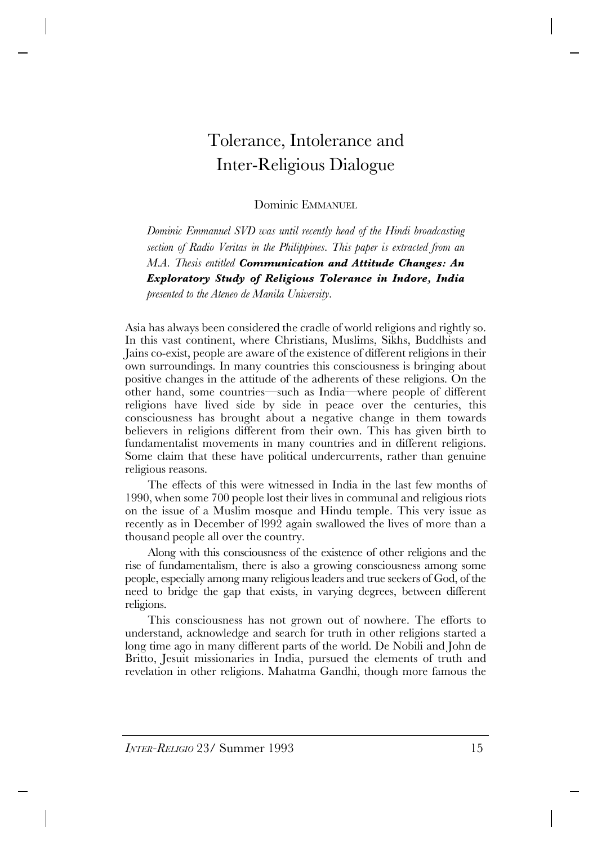# Tolerance, Intolerance and Inter-Religious Dialogue

Dominic EMMANUEL

*Dominic Emmanuel SVD was until recently head of the Hindi broadcasting section of Radio Veritas in the Philippines. This paper is extracted from an M.A. Thesis entitled Communication and Attitude Changes: An Exploratory Study of Religious Tolerance in Indore, India presented to the Ateneo de Manila University.*

Asia has always been considered the cradle of world religions and rightly so. In this vast continent, where Christians, Muslims, Sikhs, Buddhists and Jains co-exist, people are aware of the existence of different religions in their own surroundings. In many countries this consciousness is bringing about positive changes in the attitude of the adherents of these religions. On the other hand, some countries—such as India—where people of different religions have lived side by side in peace over the centuries, this consciousness has brought about a negative change in them towards believers in religions different from their own. This has given birth to fundamentalist movements in many countries and in different religions. Some claim that these have political undercurrents, rather than genuine religious reasons.

The effects of this were witnessed in India in the last few months of 1990, when some 700 people lost their lives in communal and religious riots on the issue of a Muslim mosque and Hindu temple. This very issue as recently as in December of l992 again swallowed the lives of more than a thousand people all over the country.

Along with this consciousness of the existence of other religions and the rise of fundamentalism, there is also a growing consciousness among some people, especially among many religious leaders and true seekers of God, of the need to bridge the gap that exists, in varying degrees, between different religions.

This consciousness has not grown out of nowhere. The efforts to understand, acknowledge and search for truth in other religions started a long time ago in many different parts of the world. De Nobili and John de Britto, Jesuit missionaries in India, pursued the elements of truth and revelation in other religions. Mahatma Gandhi, though more famous the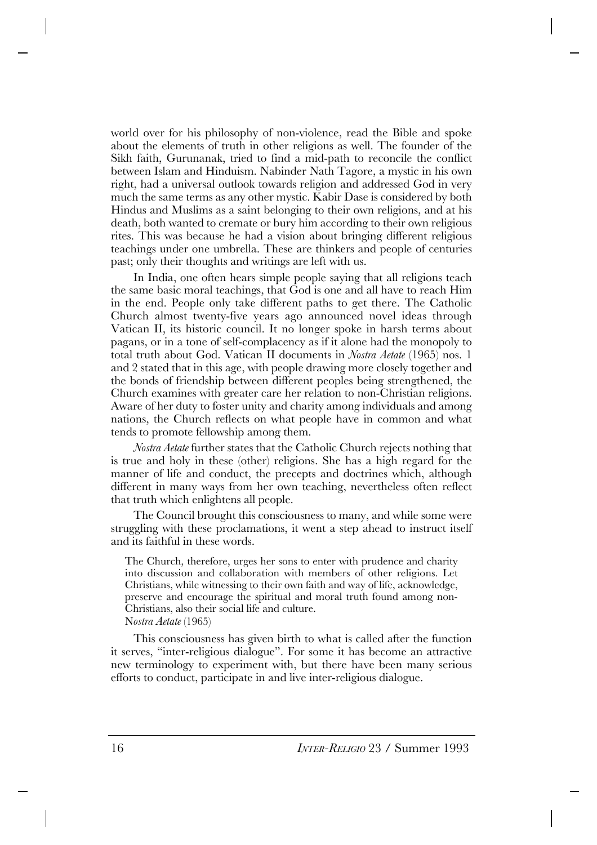world over for his philosophy of non-violence, read the Bible and spoke about the elements of truth in other religions as well. The founder of the Sikh faith, Gurunanak, tried to find a mid-path to reconcile the conflict between Islam and Hinduism. Nabinder Nath Tagore, a mystic in his own right, had a universal outlook towards religion and addressed God in very much the same terms as any other mystic. Kabir Dase is considered by both Hindus and Muslims as a saint belonging to their own religions, and at his death, both wanted to cremate or bury him according to their own religious rites. This was because he had a vision about bringing different religious teachings under one umbrella. These are thinkers and people of centuries past; only their thoughts and writings are left with us.

In India, one often hears simple people saying that all religions teach the same basic moral teachings, that God is one and all have to reach Him in the end. People only take different paths to get there. The Catholic Church almost twenty-five years ago announced novel ideas through Vatican II, its historic council. It no longer spoke in harsh terms about pagans, or in a tone of self-complacency as if it alone had the monopoly to total truth about God. Vatican II documents in *Nostra Aetate* (1965) nos. 1 and 2 stated that in this age, with people drawing more closely together and the bonds of friendship between different peoples being strengthened, the Church examines with greater care her relation to non-Christian religions. Aware of her duty to foster unity and charity among individuals and among nations, the Church reflects on what people have in common and what tends to promote fellowship among them.

*Nostra Aetate* further states that the Catholic Church rejects nothing that is true and holy in these (other) religions. She has a high regard for the manner of life and conduct, the precepts and doctrines which, although different in many ways from her own teaching, nevertheless often reflect that truth which enlightens all people.

The Council brought this consciousness to many, and while some were struggling with these proclamations, it went a step ahead to instruct itself and its faithful in these words.

The Church, therefore, urges her sons to enter with prudence and charity into discussion and collaboration with members of other religions. Let Christians, while witnessing to their own faith and way of life, acknowledge, preserve and encourage the spiritual and moral truth found among non-Christians, also their social life and culture. N*ostra Aetate* (1965)

This consciousness has given birth to what is called after the function it serves, "inter-religious dialogue". For some it has become an attractive new terminology to experiment with, but there have been many serious efforts to conduct, participate in and live inter-religious dialogue.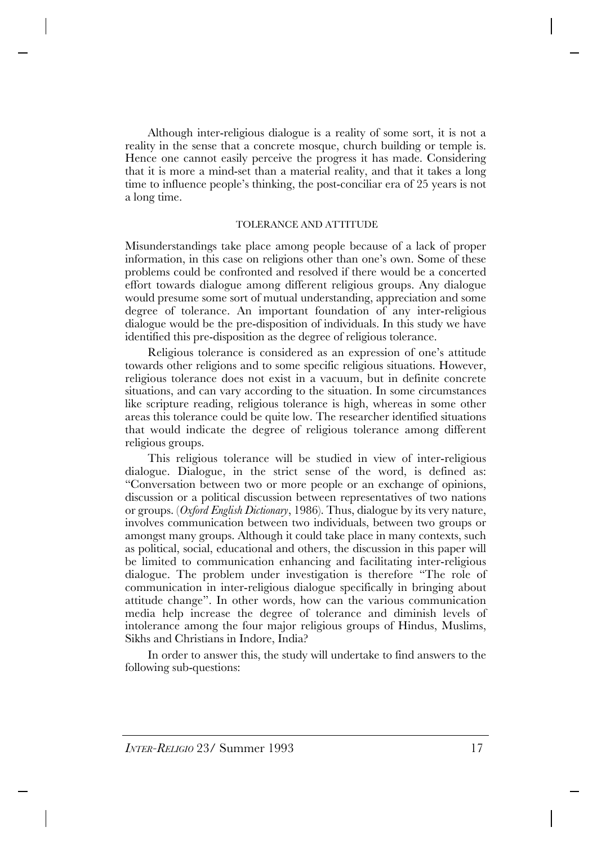Although inter-religious dialogue is a reality of some sort, it is not a reality in the sense that a concrete mosque, church building or temple is. Hence one cannot easily perceive the progress it has made. Considering that it is more a mind-set than a material reality, and that it takes a long time to influence people's thinking, the post-conciliar era of 25 years is not a long time.

#### TOLERANCE AND ATTITUDE

Misunderstandings take place among people because of a lack of proper information, in this case on religions other than one's own. Some of these problems could be confronted and resolved if there would be a concerted effort towards dialogue among different religious groups. Any dialogue would presume some sort of mutual understanding, appreciation and some degree of tolerance. An important foundation of any inter-religious dialogue would be the pre-disposition of individuals. In this study we have identified this pre-disposition as the degree of religious tolerance.

Religious tolerance is considered as an expression of one's attitude towards other religions and to some specific religious situations. However, religious tolerance does not exist in a vacuum, but in definite concrete situations, and can vary according to the situation. In some circumstances like scripture reading, religious tolerance is high, whereas in some other areas this tolerance could be quite low. The researcher identified situations that would indicate the degree of religious tolerance among different religious groups.

This religious tolerance will be studied in view of inter-religious dialogue. Dialogue, in the strict sense of the word, is defined as: "Conversation between two or more people or an exchange of opinions, discussion or a political discussion between representatives of two nations or groups. (*Oxford English Dictionary*, 1986). Thus, dialogue by its very nature, involves communication between two individuals, between two groups or amongst many groups. Although it could take place in many contexts, such as political, social, educational and others, the discussion in this paper will be limited to communication enhancing and facilitating inter-religious dialogue. The problem under investigation is therefore "The role of communication in inter-religious dialogue specifically in bringing about attitude change". In other words, how can the various communication media help increase the degree of tolerance and diminish levels of intolerance among the four major religious groups of Hindus, Muslims, Sikhs and Christians in Indore, India?

In order to answer this, the study will undertake to find answers to the following sub-questions: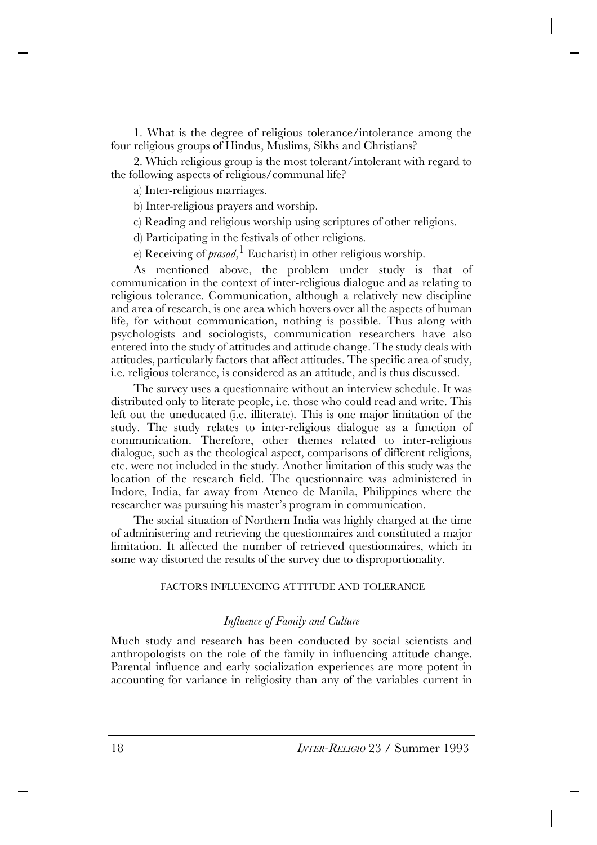1. What is the degree of religious tolerance/intolerance among the four religious groups of Hindus, Muslims, Sikhs and Christians?

2. Which religious group is the most tolerant/intolerant with regard to the following aspects of religious/communal life?

a) Inter-religious marriages.

b) Inter-religious prayers and worship.

c) Reading and religious worship using scriptures of other religions.

d) Participating in the festivals of other religions.

e) Receiving of *prasad*, 1 Eucharist) in other religious worship.

As mentioned above, the problem under study is that of communication in the context of inter-religious dialogue and as relating to religious tolerance. Communication, although a relatively new discipline and area of research, is one area which hovers over all the aspects of human life, for without communication, nothing is possible. Thus along with psychologists and sociologists, communication researchers have also entered into the study of attitudes and attitude change. The study deals with attitudes, particularly factors that affect attitudes. The specific area of study, i.e. religious tolerance, is considered as an attitude, and is thus discussed.

The survey uses a questionnaire without an interview schedule. It was distributed only to literate people, i.e. those who could read and write. This left out the uneducated (i.e. illiterate). This is one major limitation of the study. The study relates to inter-religious dialogue as a function of communication. Therefore, other themes related to inter-religious dialogue, such as the theological aspect, comparisons of different religions, etc. were not included in the study. Another limitation of this study was the location of the research field. The questionnaire was administered in Indore, India, far away from Ateneo de Manila, Philippines where the researcher was pursuing his master's program in communication.

The social situation of Northern India was highly charged at the time of administering and retrieving the questionnaires and constituted a major limitation. It affected the number of retrieved questionnaires, which in some way distorted the results of the survey due to disproportionality.

## FACTORS INFLUENCING ATTITUDE AND TOLERANCE

## *Influence of Family and Culture*

Much study and research has been conducted by social scientists and anthropologists on the role of the family in influencing attitude change. Parental influence and early socialization experiences are more potent in accounting for variance in religiosity than any of the variables current in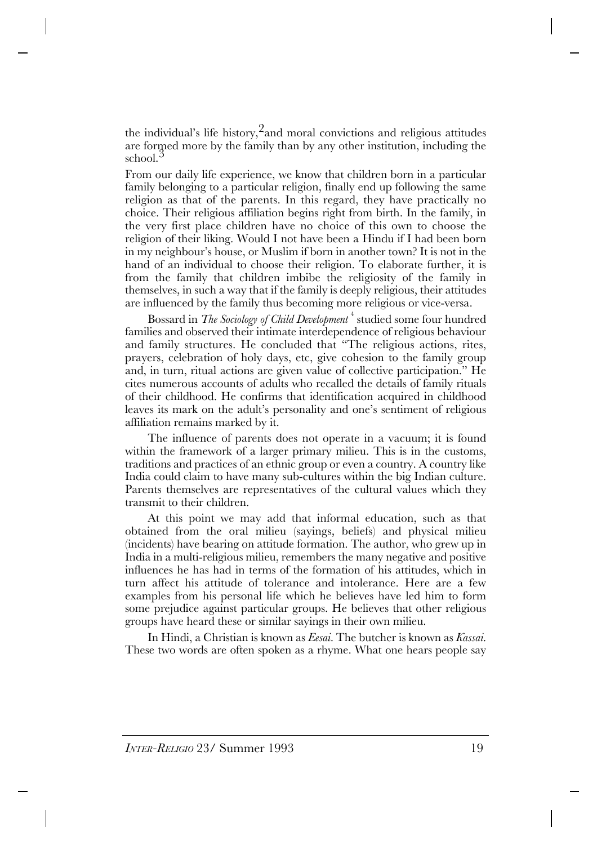the individual's life history,<sup>2</sup>and moral convictions and religious attitudes are formed more by the family than by any other institution, including the school.<sup>3</sup>

From our daily life experience, we know that children born in a particular family belonging to a particular religion, finally end up following the same religion as that of the parents. In this regard, they have practically no choice. Their religious affiliation begins right from birth. In the family, in the very first place children have no choice of this own to choose the religion of their liking. Would I not have been a Hindu if I had been born in my neighbour's house, or Muslim if born in another town? It is not in the hand of an individual to choose their religion. To elaborate further, it is from the family that children imbibe the religiosity of the family in themselves, in such a way that if the family is deeply religious, their attitudes are influenced by the family thus becoming more religious or vice-versa.

Bossard in *The Sociology of Child Development* <sup>4</sup> studied some four hundred families and observed their intimate interdependence of religious behaviour and family structures. He concluded that "The religious actions, rites, prayers, celebration of holy days, etc, give cohesion to the family group and, in turn, ritual actions are given value of collective participation." He cites numerous accounts of adults who recalled the details of family rituals of their childhood. He confirms that identification acquired in childhood leaves its mark on the adult's personality and one's sentiment of religious affiliation remains marked by it.

The influence of parents does not operate in a vacuum; it is found within the framework of a larger primary milieu. This is in the customs, traditions and practices of an ethnic group or even a country. A country like India could claim to have many sub-cultures within the big Indian culture. Parents themselves are representatives of the cultural values which they transmit to their children.

At this point we may add that informal education, such as that obtained from the oral milieu (sayings, beliefs) and physical milieu (incidents) have bearing on attitude formation. The author, who grew up in India in a multi-religious milieu, remembers the many negative and positive influences he has had in terms of the formation of his attitudes, which in turn affect his attitude of tolerance and intolerance. Here are a few examples from his personal life which he believes have led him to form some prejudice against particular groups. He believes that other religious groups have heard these or similar sayings in their own milieu.

In Hindi, a Christian is known as *Eesai*. The butcher is known as *Kassai*. These two words are often spoken as a rhyme. What one hears people say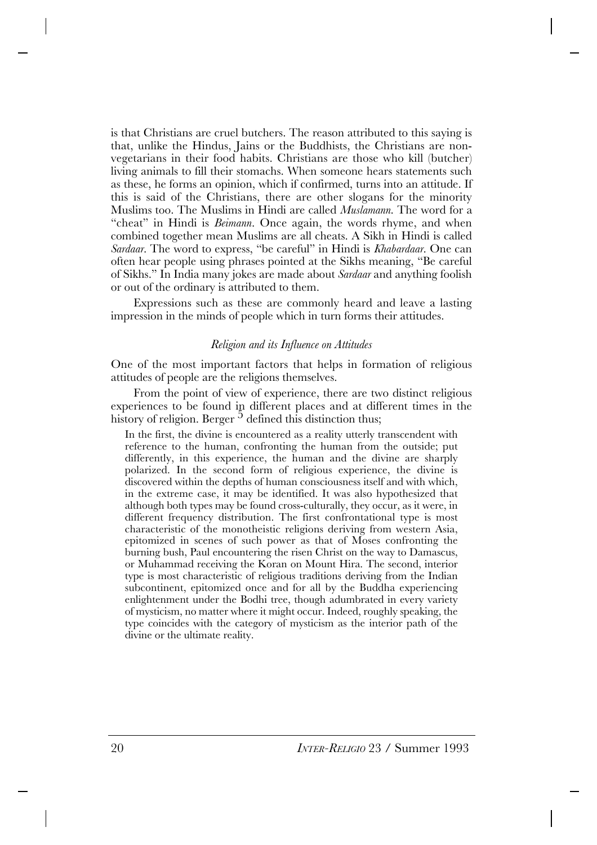is that Christians are cruel butchers. The reason attributed to this saying is that, unlike the Hindus, Jains or the Buddhists, the Christians are nonvegetarians in their food habits. Christians are those who kill (butcher) living animals to fill their stomachs. When someone hears statements such as these, he forms an opinion, which if confirmed, turns into an attitude. If this is said of the Christians, there are other slogans for the minority Muslims too. The Muslims in Hindi are called *Muslamann*. The word for a "cheat" in Hindi is *Beimann*. Once again, the words rhyme, and when combined together mean Muslims are all cheats. A Sikh in Hindi is called *Sardaar*. The word to express, "be careful" in Hindi is *Khabardaar*. One can often hear people using phrases pointed at the Sikhs meaning, "Be careful of Sikhs." In India many jokes are made about *Sardaar* and anything foolish or out of the ordinary is attributed to them.

Expressions such as these are commonly heard and leave a lasting impression in the minds of people which in turn forms their attitudes.

### *Religion and its Influence on Attitudes*

One of the most important factors that helps in formation of religious attitudes of people are the religions themselves.

From the point of view of experience, there are two distinct religious experiences to be found in different places and at different times in the history of religion. Berger  $<sup>5</sup>$  defined this distinction thus;</sup>

In the first, the divine is encountered as a reality utterly transcendent with reference to the human, confronting the human from the outside; put differently, in this experience, the human and the divine are sharply polarized. In the second form of religious experience, the divine is discovered within the depths of human consciousness itself and with which, in the extreme case, it may be identified. It was also hypothesized that although both types may be found cross-culturally, they occur, as it were, in different frequency distribution. The first confrontational type is most characteristic of the monotheistic religions deriving from western Asia, epitomized in scenes of such power as that of Moses confronting the burning bush, Paul encountering the risen Christ on the way to Damascus, or Muhammad receiving the Koran on Mount Hira. The second, interior type is most characteristic of religious traditions deriving from the Indian subcontinent, epitomized once and for all by the Buddha experiencing enlightenment under the Bodhi tree, though adumbrated in every variety of mysticism, no matter where it might occur. Indeed, roughly speaking, the type coincides with the category of mysticism as the interior path of the divine or the ultimate reality.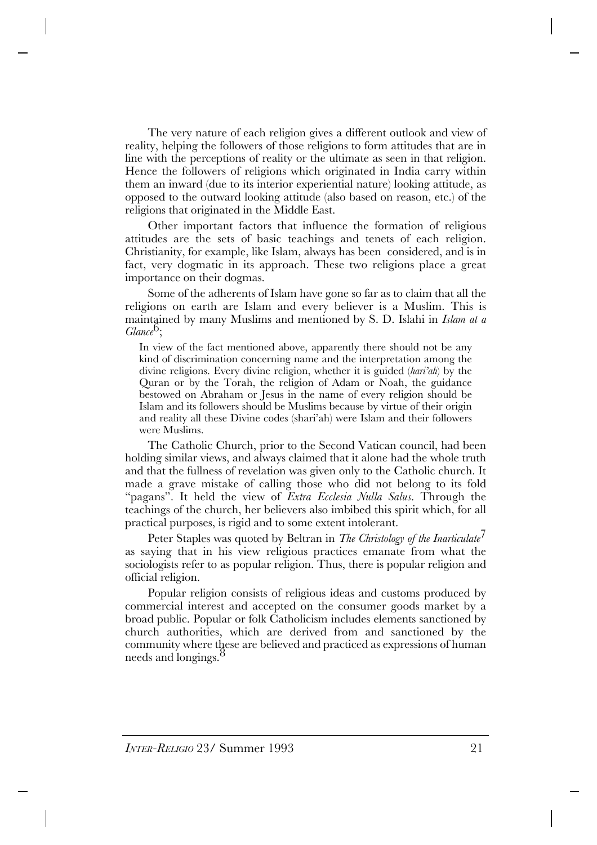The very nature of each religion gives a different outlook and view of reality, helping the followers of those religions to form attitudes that are in line with the perceptions of reality or the ultimate as seen in that religion. Hence the followers of religions which originated in India carry within them an inward (due to its interior experiential nature) looking attitude, as opposed to the outward looking attitude (also based on reason, etc.) of the religions that originated in the Middle East.

Other important factors that influence the formation of religious attitudes are the sets of basic teachings and tenets of each religion. Christianity, for example, like Islam, always has been considered, and is in fact, very dogmatic in its approach. These two religions place a great importance on their dogmas.

Some of the adherents of Islam have gone so far as to claim that all the religions on earth are Islam and every believer is a Muslim. This is maintained by many Muslims and mentioned by S. D. Islahi in *Islam at a* Glance<sup>O</sup>:

In view of the fact mentioned above, apparently there should not be any kind of discrimination concerning name and the interpretation among the divine religions. Every divine religion, whether it is guided (*hari'ah*) by the Quran or by the Torah, the religion of Adam or Noah, the guidance bestowed on Abraham or Jesus in the name of every religion should be Islam and its followers should be Muslims because by virtue of their origin and reality all these Divine codes (shari'ah) were Islam and their followers were Muslims.

The Catholic Church, prior to the Second Vatican council, had been holding similar views, and always claimed that it alone had the whole truth and that the fullness of revelation was given only to the Catholic church. It made a grave mistake of calling those who did not belong to its fold "pagans". It held the view of *Extra Ecclesia Nulla Salus*. Through the teachings of the church, her believers also imbibed this spirit which, for all practical purposes, is rigid and to some extent intolerant.

Peter Staples was quoted by Beltran in *The Christology of the Inarticulate*<sup>7</sup> as saying that in his view religious practices emanate from what the sociologists refer to as popular religion. Thus, there is popular religion and official religion.

Popular religion consists of religious ideas and customs produced by commercial interest and accepted on the consumer goods market by a broad public. Popular or folk Catholicism includes elements sanctioned by church authorities, which are derived from and sanctioned by the community where these are believed and practiced as expressions of human needs and longings.<sup>8</sup>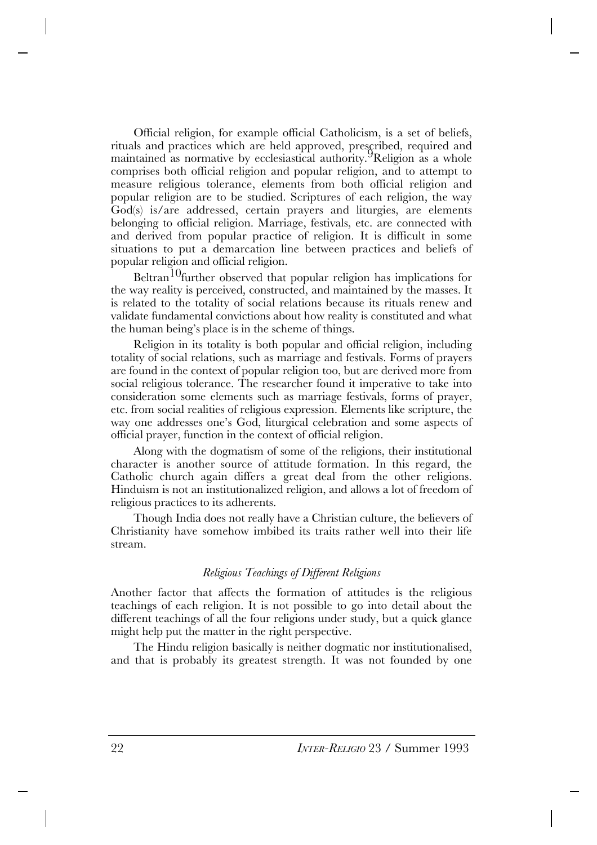Official religion, for example official Catholicism, is a set of beliefs, rituals and practices which are held approved, prescribed, required and maintained as normative by ecclesiastical authority. <sup>9</sup>Religion as a whole comprises both official religion and popular religion, and to attempt to measure religious tolerance, elements from both official religion and popular religion are to be studied. Scriptures of each religion, the way God(s) is/are addressed, certain prayers and liturgies, are elements belonging to official religion. Marriage, festivals, etc. are connected with and derived from popular practice of religion. It is difficult in some situations to put a demarcation line between practices and beliefs of popular religion and official religion.

Beltran<sup>10</sup>further observed that popular religion has implications for the way reality is perceived, constructed, and maintained by the masses. It is related to the totality of social relations because its rituals renew and validate fundamental convictions about how reality is constituted and what the human being's place is in the scheme of things.

Religion in its totality is both popular and official religion, including totality of social relations, such as marriage and festivals. Forms of prayers are found in the context of popular religion too, but are derived more from social religious tolerance. The researcher found it imperative to take into consideration some elements such as marriage festivals, forms of prayer, etc. from social realities of religious expression. Elements like scripture, the way one addresses one's God, liturgical celebration and some aspects of official prayer, function in the context of official religion.

Along with the dogmatism of some of the religions, their institutional character is another source of attitude formation. In this regard, the Catholic church again differs a great deal from the other religions. Hinduism is not an institutionalized religion, and allows a lot of freedom of religious practices to its adherents.

Though India does not really have a Christian culture, the believers of Christianity have somehow imbibed its traits rather well into their life stream.

## *Religious Teachings of Different Religions*

Another factor that affects the formation of attitudes is the religious teachings of each religion. It is not possible to go into detail about the different teachings of all the four religions under study, but a quick glance might help put the matter in the right perspective.

The Hindu religion basically is neither dogmatic nor institutionalised, and that is probably its greatest strength. It was not founded by one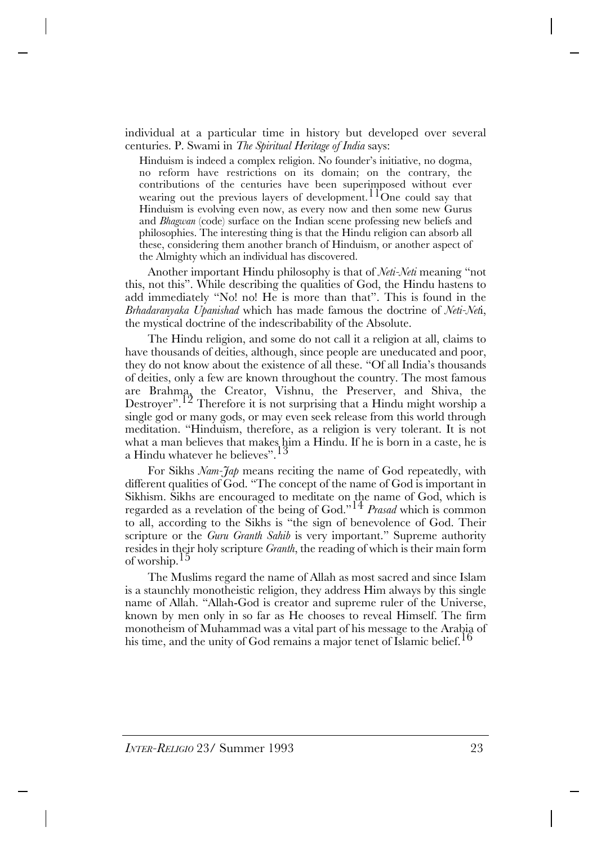individual at a particular time in history but developed over several centuries. P. Swami in *The Spiritual Heritage of India* says:

Hinduism is indeed a complex religion. No founder's initiative, no dogma, no reform have restrictions on its domain; on the contrary, the contributions of the centuries have been superimposed without ever wearing out the previous layers of development.  $11^{\circ}$ One could say that Hinduism is evolving even now, as every now and then some new Gurus and *Bhagwan* (code) surface on the Indian scene professing new beliefs and philosophies. The interesting thing is that the Hindu religion can absorb all these, considering them another branch of Hinduism, or another aspect of the Almighty which an individual has discovered.

Another important Hindu philosophy is that of *Neti-Neti* meaning "not this, not this". While describing the qualities of God, the Hindu hastens to add immediately "No! no! He is more than that". This is found in the *Brhadaranyaka Upanishad* which has made famous the doctrine of *Neti-Net*i, the mystical doctrine of the indescribability of the Absolute.

The Hindu religion, and some do not call it a religion at all, claims to have thousands of deities, although, since people are uneducated and poor, they do not know about the existence of all these. "Of all India's thousands of deities, only a few are known throughout the country. The most famous are Brahma, the Creator, Vishnu, the Preserver, and Shiva, the Destroyer".<sup>12</sup> Therefore it is not surprising that a Hindu might worship a single god or many gods, or may even seek release from this world through meditation. "Hinduism, therefore, as a religion is very tolerant. It is not what a man believes that makes him a Hindu. If he is born in a caste, he is a Hindu whatever he believes". <sup>13</sup>

For Sikhs *Nam-Jap* means reciting the name of God repeatedly, with different qualities of God. "The concept of the name of God is important in Sikhism. Sikhs are encouraged to meditate on the name of God, which is regarded as a revelation of the being of God."<sup>14</sup> *Prasad* which is common to all, according to the Sikhs is "the sign of benevolence of God. Their scripture or the *Guru Granth Sahib* is very important." Supreme authority resides in their holy scripture *Granth*, the reading of which is their main form of worship.15

The Muslims regard the name of Allah as most sacred and since Islam is a staunchly monotheistic religion, they address Him always by this single name of Allah. "Allah-God is creator and supreme ruler of the Universe, known by men only in so far as He chooses to reveal Himself. The firm monotheism of Muhammad was a vital part of his message to the Arabia of his time, and the unity of God remains a major tenet of Islamic belief.<sup>16</sup>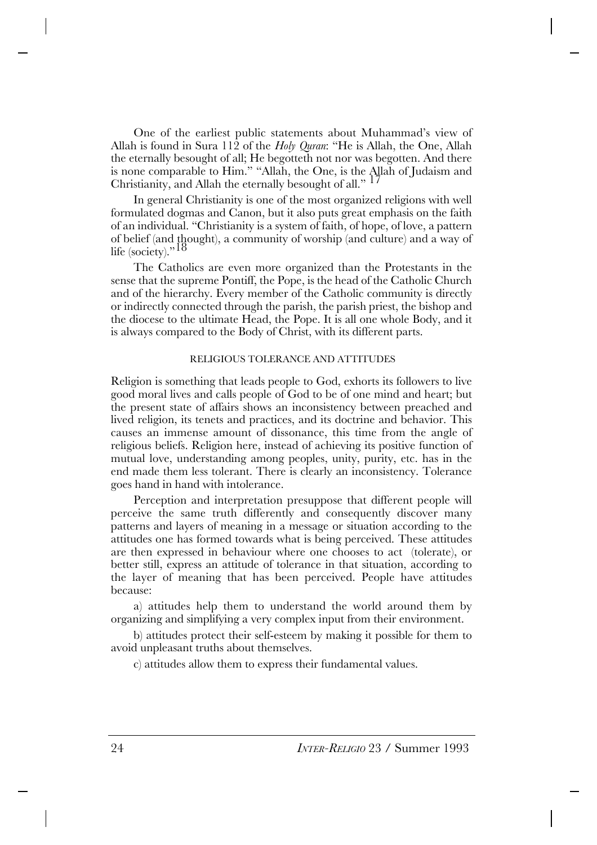One of the earliest public statements about Muhammad's view of Allah is found in Sura 112 of the *Holy Quran*: "He is Allah, the One, Allah the eternally besought of all; He begotteth not nor was begotten. And there is none comparable to Him." "Allah, the One, is the Allah of Judaism and Christianity, and Allah the eternally besought of all." 17

In general Christianity is one of the most organized religions with well formulated dogmas and Canon, but it also puts great emphasis on the faith of an individual. "Christianity is a system of faith, of hope, of love, a pattern of belief (and thought), a community of worship (and culture) and a way of life (society)." $18$ 

The Catholics are even more organized than the Protestants in the sense that the supreme Pontiff, the Pope, is the head of the Catholic Church and of the hierarchy. Every member of the Catholic community is directly or indirectly connected through the parish, the parish priest, the bishop and the diocese to the ultimate Head, the Pope. It is all one whole Body, and it is always compared to the Body of Christ, with its different parts.

#### RELIGIOUS TOLERANCE AND ATTITUDES

Religion is something that leads people to God, exhorts its followers to live good moral lives and calls people of God to be of one mind and heart; but the present state of affairs shows an inconsistency between preached and lived religion, its tenets and practices, and its doctrine and behavior. This causes an immense amount of dissonance, this time from the angle of religious beliefs. Religion here, instead of achieving its positive function of mutual love, understanding among peoples, unity, purity, etc. has in the end made them less tolerant. There is clearly an inconsistency. Tolerance goes hand in hand with intolerance.

Perception and interpretation presuppose that different people will perceive the same truth differently and consequently discover many patterns and layers of meaning in a message or situation according to the attitudes one has formed towards what is being perceived. These attitudes are then expressed in behaviour where one chooses to act (tolerate), or better still, express an attitude of tolerance in that situation, according to the layer of meaning that has been perceived. People have attitudes because:

a) attitudes help them to understand the world around them by organizing and simplifying a very complex input from their environment.

b) attitudes protect their self-esteem by making it possible for them to avoid unpleasant truths about themselves.

c) attitudes allow them to express their fundamental values.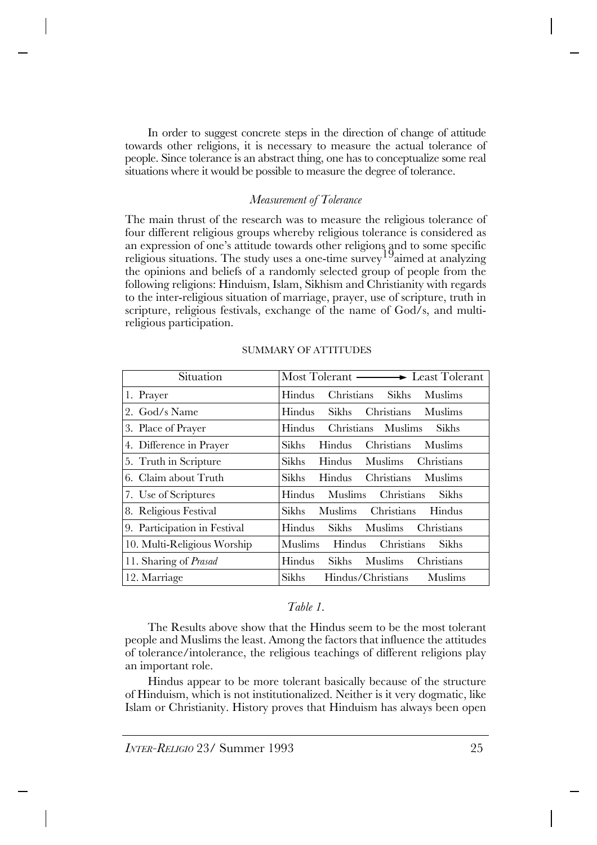In order to suggest concrete steps in the direction of change of attitude towards other religions, it is necessary to measure the actual tolerance of people. Since tolerance is an abstract thing, one has to conceptualize some real situations where it would be possible to measure the degree of tolerance.

## *Measurement of Tolerance*

The main thrust of the research was to measure the religious tolerance of four different religious groups whereby religious tolerance is considered as an expression of one's attitude towards other religions and to some specific religious situations. The study uses a one-time survey  $19a$  aimed at analyzing the opinions and beliefs of a randomly selected group of people from the following religions: Hinduism, Islam, Sikhism and Christianity with regards to the inter-religious situation of marriage, prayer, use of scripture, truth in scripture, religious festivals, exchange of the name of God/s, and multireligious participation.

| Situation                    | Most Tolerant — Least Tolerant                         |
|------------------------------|--------------------------------------------------------|
| 1. Prayer                    | Sikhs Muslims<br>Hindus<br>Christians                  |
| 2. God/s Name                | Christians Muslims<br>Hindus<br>Sikhs                  |
| 3. Place of Prayer           | Hindus<br>Christians Muslims<br>Sikhs                  |
| 4. Difference in Prayer      | Sikhs<br>Christians<br><b>Hindus</b><br>Muslims        |
| 5. Truth in Scripture        | Sikhs<br>Hindus Muslims<br>Christians                  |
| 6. Claim about Truth         | Christians Muslims<br>Sikhs-<br>Hindus                 |
| 7. Use of Scriptures         | Hindus<br>Muslims<br><b>Sikhs</b><br><b>Christians</b> |
| 8. Religious Festival        | <b>Christians</b><br>Muslims<br>Hindus<br>Sikhs-       |
| 9. Participation in Festival | Hindus<br>Sikhs Muslims<br>Christians                  |
| 10. Multi-Religious Worship  | <b>Muslims</b><br>Hindus<br>Christians<br>Sikhs        |
| 11. Sharing of <i>Prasad</i> | Hindus<br>Muslims<br>Sikhs<br>Christians               |
| 12. Marriage                 | Sikhs<br>Hindus/Christians<br>Muslims                  |

## SUMMARY OF ATTITUDES

## *Table 1.*

The Results above show that the Hindus seem to be the most tolerant people and Muslims the least. Among the factors that influence the attitudes of tolerance/intolerance, the religious teachings of different religions play an important role.

Hindus appear to be more tolerant basically because of the structure of Hinduism, which is not institutionalized. Neither is it very dogmatic, like Islam or Christianity. History proves that Hinduism has always been open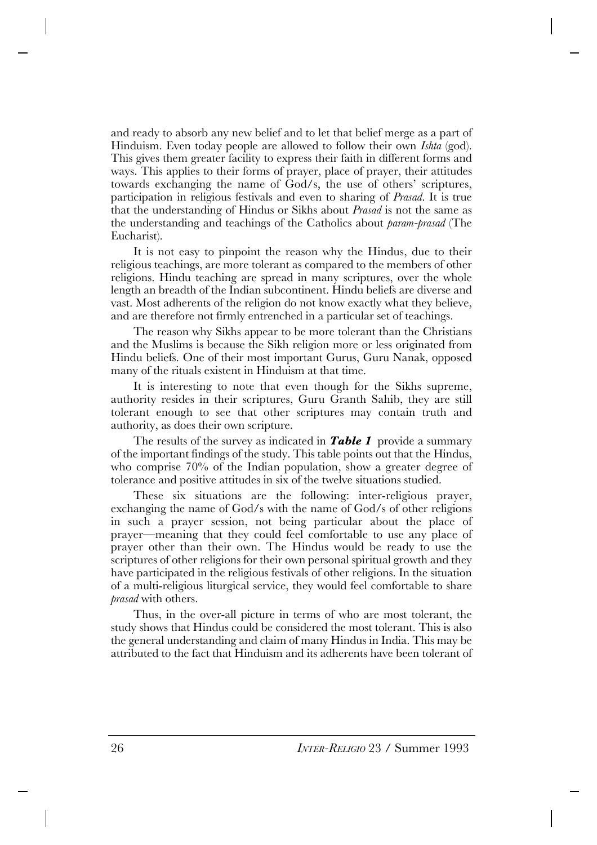and ready to absorb any new belief and to let that belief merge as a part of Hinduism. Even today people are allowed to follow their own *Ishta* (god). This gives them greater facility to express their faith in different forms and ways. This applies to their forms of prayer, place of prayer, their attitudes towards exchanging the name of God/s, the use of others' scriptures, participation in religious festivals and even to sharing of *Prasad*. It is true that the understanding of Hindus or Sikhs about *Prasad* is not the same as the understanding and teachings of the Catholics about *param-prasad* (The Eucharist).

It is not easy to pinpoint the reason why the Hindus, due to their religious teachings, are more tolerant as compared to the members of other religions. Hindu teaching are spread in many scriptures, over the whole length an breadth of the Indian subcontinent. Hindu beliefs are diverse and vast. Most adherents of the religion do not know exactly what they believe, and are therefore not firmly entrenched in a particular set of teachings.

The reason why Sikhs appear to be more tolerant than the Christians and the Muslims is because the Sikh religion more or less originated from Hindu beliefs. One of their most important Gurus, Guru Nanak, opposed many of the rituals existent in Hinduism at that time.

It is interesting to note that even though for the Sikhs supreme, authority resides in their scriptures, Guru Granth Sahib, they are still tolerant enough to see that other scriptures may contain truth and authority, as does their own scripture.

The results of the survey as indicated in *Table 1* provide a summary of the important findings of the study. This table points out that the Hindus, who comprise 70% of the Indian population, show a greater degree of tolerance and positive attitudes in six of the twelve situations studied.

These six situations are the following: inter-religious prayer, exchanging the name of God/s with the name of God/s of other religions in such a prayer session, not being particular about the place of prayer—meaning that they could feel comfortable to use any place of prayer other than their own. The Hindus would be ready to use the scriptures of other religions for their own personal spiritual growth and they have participated in the religious festivals of other religions. In the situation of a multi-religious liturgical service, they would feel comfortable to share *prasad* with others.

Thus, in the over-all picture in terms of who are most tolerant, the study shows that Hindus could be considered the most tolerant. This is also the general understanding and claim of many Hindus in India. This may be attributed to the fact that Hinduism and its adherents have been tolerant of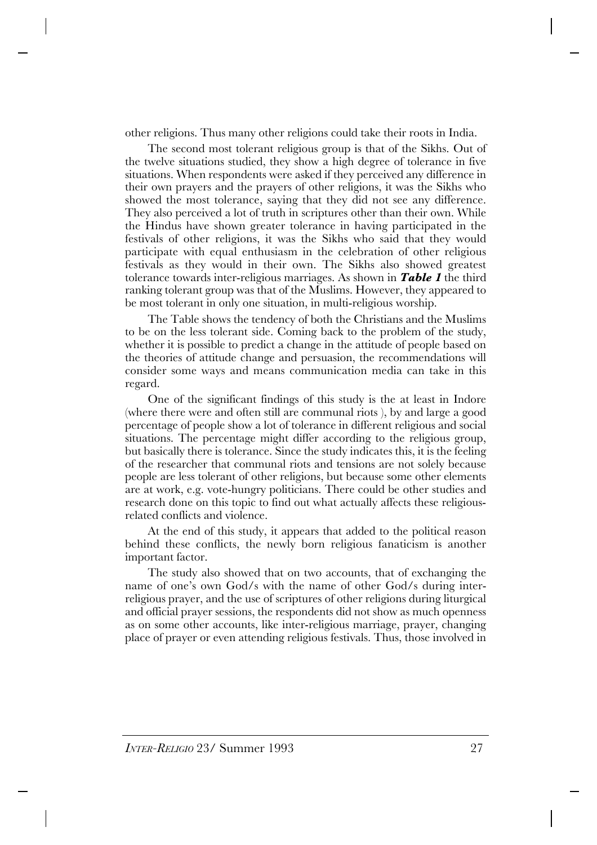other religions. Thus many other religions could take their roots in India.

The second most tolerant religious group is that of the Sikhs. Out of the twelve situations studied, they show a high degree of tolerance in five situations. When respondents were asked if they perceived any difference in their own prayers and the prayers of other religions, it was the Sikhs who showed the most tolerance, saying that they did not see any difference. They also perceived a lot of truth in scriptures other than their own. While the Hindus have shown greater tolerance in having participated in the festivals of other religions, it was the Sikhs who said that they would participate with equal enthusiasm in the celebration of other religious festivals as they would in their own. The Sikhs also showed greatest tolerance towards inter-religious marriages. As shown in *Table 1* the third ranking tolerant group was that of the Muslims. However, they appeared to be most tolerant in only one situation, in multi-religious worship.

The Table shows the tendency of both the Christians and the Muslims to be on the less tolerant side. Coming back to the problem of the study, whether it is possible to predict a change in the attitude of people based on the theories of attitude change and persuasion, the recommendations will consider some ways and means communication media can take in this regard.

One of the significant findings of this study is the at least in Indore (where there were and often still are communal riots ), by and large a good percentage of people show a lot of tolerance in different religious and social situations. The percentage might differ according to the religious group, but basically there is tolerance. Since the study indicates this, it is the feeling of the researcher that communal riots and tensions are not solely because people are less tolerant of other religions, but because some other elements are at work, e.g. vote-hungry politicians. There could be other studies and research done on this topic to find out what actually affects these religiousrelated conflicts and violence.

At the end of this study, it appears that added to the political reason behind these conflicts, the newly born religious fanaticism is another important factor.

The study also showed that on two accounts, that of exchanging the name of one's own God/s with the name of other God/s during interreligious prayer, and the use of scriptures of other religions during liturgical and official prayer sessions, the respondents did not show as much openness as on some other accounts, like inter-religious marriage, prayer, changing place of prayer or even attending religious festivals. Thus, those involved in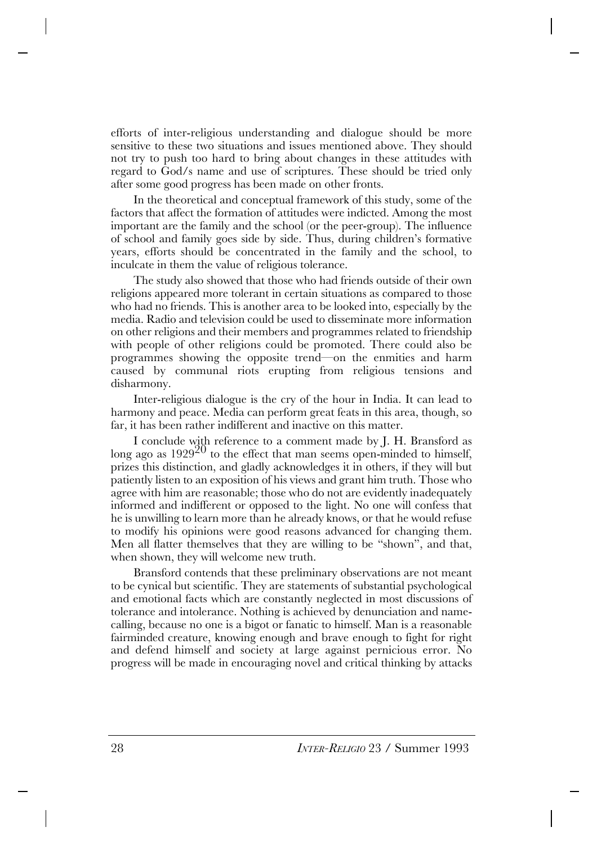efforts of inter-religious understanding and dialogue should be more sensitive to these two situations and issues mentioned above. They should not try to push too hard to bring about changes in these attitudes with regard to God/s name and use of scriptures. These should be tried only after some good progress has been made on other fronts.

In the theoretical and conceptual framework of this study, some of the factors that affect the formation of attitudes were indicted. Among the most important are the family and the school (or the peer-group). The influence of school and family goes side by side. Thus, during children's formative years, efforts should be concentrated in the family and the school, to inculcate in them the value of religious tolerance.

The study also showed that those who had friends outside of their own religions appeared more tolerant in certain situations as compared to those who had no friends. This is another area to be looked into, especially by the media. Radio and television could be used to disseminate more information on other religions and their members and programmes related to friendship with people of other religions could be promoted. There could also be programmes showing the opposite trend—on the enmities and harm caused by communal riots erupting from religious tensions and disharmony.

Inter-religious dialogue is the cry of the hour in India. It can lead to harmony and peace. Media can perform great feats in this area, though, so far, it has been rather indifferent and inactive on this matter.

I conclude with reference to a comment made by J. H. Bransford as long ago as  $1929^{20}$  to the effect that man seems open-minded to himself, prizes this distinction, and gladly acknowledges it in others, if they will but patiently listen to an exposition of his views and grant him truth. Those who agree with him are reasonable; those who do not are evidently inadequately informed and indifferent or opposed to the light. No one will confess that he is unwilling to learn more than he already knows, or that he would refuse to modify his opinions were good reasons advanced for changing them. Men all flatter themselves that they are willing to be "shown", and that, when shown, they will welcome new truth.

Bransford contends that these preliminary observations are not meant to be cynical but scientific. They are statements of substantial psychological and emotional facts which are constantly neglected in most discussions of tolerance and intolerance. Nothing is achieved by denunciation and namecalling, because no one is a bigot or fanatic to himself. Man is a reasonable fairminded creature, knowing enough and brave enough to fight for right and defend himself and society at large against pernicious error. No progress will be made in encouraging novel and critical thinking by attacks